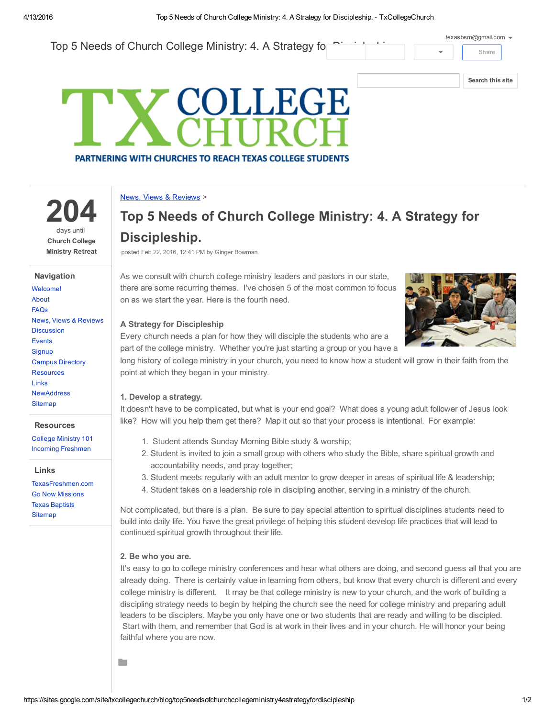# Top 5 Needs of Church College Ministry: 4. A Strategy fo **Share** [texasbsm@gmail.com](https://accounts.google.com/SignOutOptions?hl=en&continue=https://sites.google.com/site/txcollegechurch/blog/top5needsofchurchcollegeministry4astrategyfordiscipleship&service=jotspot)



# **COLLEGE PARTNERING WITH CHURCHES TO REACH TEXAS COLLEGE STUDENTS**

### News, Views & [Reviews](https://sites.google.com/site/txcollegechurch/blog) >

204 days until Church College Ministry Retreat

#### Navigation

| Welcome!                         |
|----------------------------------|
| About                            |
| <b>FAOs</b>                      |
| <b>News, Views &amp; Reviews</b> |
| <b>Discussion</b>                |
| <b>Fvents</b>                    |
| Signup                           |
| <b>Campus Directory</b>          |
| <b>Resources</b>                 |
| <b>Links</b>                     |
| <b>NewAddress</b>                |
| <b>Sitemap</b>                   |
|                                  |

#### **Resources**

[College](https://sites.google.com/site/txcollegechurch/resources/college-ministry-essentials) Ministry 101 Incoming [Freshmen](https://sites.google.com/site/txcollegechurch/resources/incoming-freshmen)

#### Links

[TexasFreshmen.com](http://texasfreshmen.com/) Go Now [Missions](http://www.gonowmissions.com/) Texas [Baptists](http://www.texasbaptists.org/) **[Sitemap](https://sites.google.com/site/txcollegechurch/system/app/pages/sitemap/hierarchy)** 

# Top 5 Needs of Church College Ministry: 4. A Strategy for Discipleship.

posted Feb 22, 2016, 12:41 PM by Ginger Bowman

As we consult with church college ministry leaders and pastors in our state, there are some recurring themes. I've chosen 5 of the most common to focus on as we start the year. Here is the fourth need.



## A Strategy for Discipleship

Every church needs a plan for how they will disciple the students who are a part of the college ministry. Whether you're just starting a group or you have a

long history of college ministry in your church, you need to know how a student will grow in their faith from the point at which they began in your ministry.

# 1. Develop a strategy.

It doesn't have to be complicated, but what is your end goal? What does a young adult follower of Jesus look like? How will you help them get there? Map it out so that your process is intentional. For example:

- 1. Student attends Sunday Morning Bible study & worship;
- 2. Student is invited to join a small group with others who study the Bible, share spiritual growth and accountability needs, and pray together;
- 3. Student meets regularly with an adult mentor to grow deeper in areas of spiritual life & leadership;
- 4. Student takes on a leadership role in discipling another, serving in a ministry of the church.

Not complicated, but there is a plan. Be sure to pay special attention to spiritual disciplines students need to build into daily life. You have the great privilege of helping this student develop life practices that will lead to continued spiritual growth throughout their life.

# 2. Be who you are.

**De** 

It's easy to go to college ministry conferences and hear what others are doing, and second guess all that you are already doing. There is certainly value in learning from others, but know that every church is different and every college ministry is different. It may be that college ministry is new to your church, and the work of building a discipling strategy needs to begin by helping the church see the need for college ministry and preparing adult leaders to be disciplers. Maybe you only have one or two students that are ready and willing to be discipled. Start with them, and remember that God is at work in their lives and in your church. He will honor your being faithful where you are now.